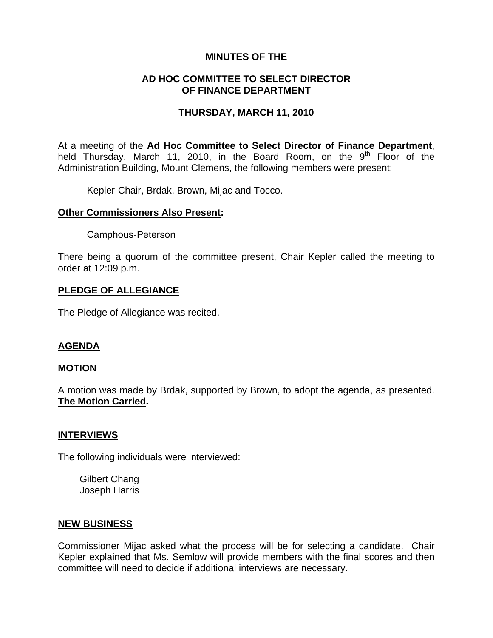## **MINUTES OF THE**

# **AD HOC COMMITTEE TO SELECT DIRECTOR OF FINANCE DEPARTMENT**

## **THURSDAY, MARCH 11, 2010**

At a meeting of the **Ad Hoc Committee to Select Director of Finance Department**, held Thursday, March 11, 2010, in the Board Room, on the  $9<sup>th</sup>$  Floor of the Administration Building, Mount Clemens, the following members were present:

Kepler-Chair, Brdak, Brown, Mijac and Tocco.

#### **Other Commissioners Also Present:**

Camphous-Peterson

There being a quorum of the committee present, Chair Kepler called the meeting to order at 12:09 p.m.

## **PLEDGE OF ALLEGIANCE**

The Pledge of Allegiance was recited.

# **AGENDA**

#### **MOTION**

A motion was made by Brdak, supported by Brown, to adopt the agenda, as presented. **The Motion Carried.** 

#### **INTERVIEWS**

The following individuals were interviewed:

 Gilbert Chang Joseph Harris

#### **NEW BUSINESS**

Commissioner Mijac asked what the process will be for selecting a candidate. Chair Kepler explained that Ms. Semlow will provide members with the final scores and then committee will need to decide if additional interviews are necessary.